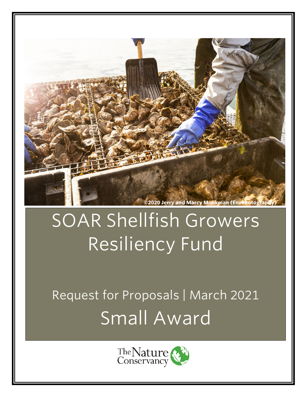

# SOAR Shellfish Growers Resiliency Fund

Request for Proposals | March 2021 Small Award

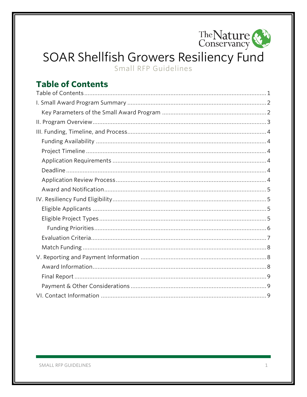

# SOAR Shellfish Growers Resiliency Fund Small RFP Guidelines

# <span id="page-1-0"></span>**Table of Contents**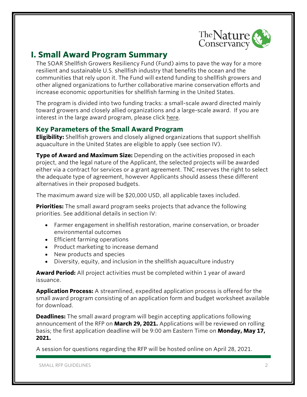

# <span id="page-2-0"></span>**I. Small Award Program Summary**

The SOAR Shellfish Growers Resiliency Fund (Fund) aims to pave the way for a more resilient and sustainable U.S. shellfish industry that benefits the ocean and the communities that rely upon it. The Fund will extend funding to shellfish growers and other aligned organizations to further collaborative marine conservation efforts and increase economic opportunities for shellfish farming in the United States.

The program is divided into two funding tracks: a small-scale award directed mainly toward growers and closely allied organizations and a large-scale award. If you are interest in the large award program, please click [here.](https://www.nature.org/en-us/what-we-do/our-priorities/provide-food-and-water-sustainably/food-and-water-stories/oyster-covid-relief-restoration/?vu=soar&tab_q=tab_container_copy-tab_element_1633269539)

#### <span id="page-2-1"></span>**Key Parameters of the Small Award Program**

**Eligibility:** Shellfish growers and closely aligned organizations that support shellfish aquaculture in the United States are eligible to apply (see section IV).

**Type of Award and Maximum Size:** Depending on the activities proposed in each project, and the legal nature of the Applicant, the selected projects will be awarded either via a contract for services or a grant agreement. TNC reserves the right to select the adequate type of agreement, however Applicants should assess these different alternatives in their proposed budgets.

The maximum award size will be \$20,000 USD, all applicable taxes included.

**Priorities:** The small award program seeks projects that advance the following priorities. See additional details in section IV:

- Farmer engagement in shellfish restoration, marine conservation, or broader environmental outcomes
- Efficient farming operations
- Product marketing to increase demand
- New products and species
- Diversity, equity, and inclusion in the shellfish aquaculture industry

**Award Period:** All project activities must be completed within 1 year of award issuance.

**Application Process:** A streamlined, expedited application process is offered for the small award program consisting of an application form and budget worksheet available for download.

**Deadlines:** The small award program will begin accepting applications following announcement of the RFP on **March 29, 2021.** Applications will be reviewed on rolling basis; the first application deadline will be 9:00 am Eastern Time on **Monday, May 17, 2021.**

A session for questions regarding the RFP will be hosted online on April 28, 2021.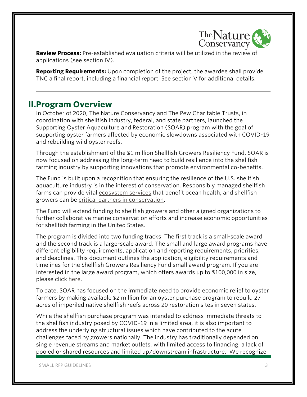

**Review Process:** Pre-established evaluation criteria will be utilized in the review of applications (see section IV).

**Reporting Requirements:** Upon completion of the project, the awardee shall provide TNC a final report, including a financial report. See section V for additional details.

# <span id="page-3-0"></span>**II.Program Overview**

In October of 2020, The Nature Conservancy and The Pew Charitable Trusts, in coordination with shellfish industry, federal, and state partners, launched the Supporting Oyster Aquaculture and Restoration (SOAR) program with the goal of supporting oyster farmers affected by economic slowdowns associated with COVID-19 and rebuilding wild oyster reefs.

Through the establishment of the \$1 million Shellfish Growers Resiliency Fund, SOAR is now focused on addressing the long-term need to build resilience into the shellfish farming industry by supporting innovations that promote environmental co-benefits.

The Fund is built upon a recognition that ensuring the resilience of the U.S. shellfish aquaculture industry is in the interest of conservation. Responsibly managed shellfish farms can provide vital [ecosystem services](https://www.nature.org/en-us/what-we-do/our-insights/perspectives/restorative-aquaculture-for-nature-and-communities/) that benefit ocean health, and shellfish growers can be [critical partners in conservation.](https://www.nature.org/en-us/what-we-do/our-priorities/tackle-climate-change/climate-change-stories/shellfish-growers-climate-coalition/)

The Fund will extend funding to shellfish growers and other aligned organizations to further collaborative marine conservation efforts and increase economic opportunities for shellfish farming in the United States.

The program is divided into two funding tracks. The first track is a small-scale award and the second track is a large-scale award. The small and large award programs have different eligibility requirements, application and reporting requirements, priorities, and deadlines. This document outlines the application, eligibility requirements and timelines for the Shellfish Growers Resiliency Fund small award program. If you are interested in the large award program, which offers awards up to \$100,000 in size, please click [here.](https://www.nature.org/en-us/what-we-do/our-priorities/provide-food-and-water-sustainably/food-and-water-stories/oyster-covid-relief-restoration/?vu=soar&tab_q=tab_container_copy-tab_element_1633269539)

To date, SOAR has focused on the immediate need to provide economic relief to oyster farmers by making available \$2 million for an oyster purchase program to rebuild 27 acres of imperiled native shellfish reefs across 20 restoration sites in seven states.

While the shellfish purchase program was intended to address immediate threats to the shellfish industry posed by COVID-19 in a limited area, it is also important to address the underlying structural issues which have contributed to the acute challenges faced by growers nationally. The industry has traditionally depended on single revenue streams and market outlets, with limited access to financing, a lack of pooled or shared resources and limited up/downstream infrastructure. We recognize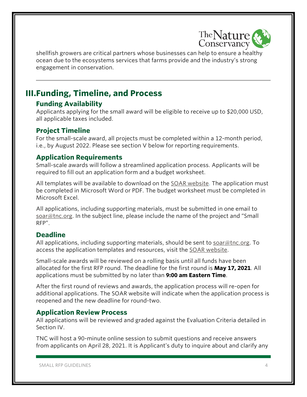

shellfish growers are critical partners whose businesses can help to ensure a healthy ocean due to the ecosystems services that farms provide and the industry's strong engagement in conservation.

# <span id="page-4-0"></span>**III.Funding, Timeline, and Process**

## <span id="page-4-1"></span>**Funding Availability**

Applicants applying for the small award will be eligible to receive up to \$20,000 USD, all applicable taxes included.

## <span id="page-4-2"></span>**Project Timeline**

For the small-scale award, all projects must be completed within a 12-month period, i.e., by August 2022. Please see section V below for reporting requirements.

## <span id="page-4-3"></span>**Application Requirements**

Small-scale awards will follow a streamlined application process. Applicants will be required to fill out an application form and a budget worksheet.

All templates will be available to download on the [SOAR website.](https://www.nature.org/en-us/what-we-do/our-priorities/provide-food-and-water-sustainably/food-and-water-stories/oyster-covid-relief-restoration/?vu=soar&tab_q=tab_container_copy-tab_element_1633269539) The application must be completed in Microsoft Word or PDF. The budget worksheet must be completed in Microsoft Excel.

All applications, including supporting materials, must be submitted in one email to [soar@tnc.org.](mailto:soar@tnc.org) In the subject line, please include the name of the project and "Small RFP".

## <span id="page-4-4"></span>**Deadline**

All applications, including supporting materials, should be sent to [soar@tnc.org.](mailto:soar@tnc.org) To access the application templates and resources, visit the [SOAR website.](https://www.nature.org/en-us/what-we-do/our-priorities/provide-food-and-water-sustainably/food-and-water-stories/oyster-covid-relief-restoration/?vu=soar&tab_q=tab_container_copy-tab_element_1633269539)

Small-scale awards will be reviewed on a rolling basis until all funds have been allocated for the first RFP round. The deadline for the first round is **May 17, 2021**. All applications must be submitted by no later than **9:00 am Eastern Time**.

After the first round of reviews and awards, the application process will re-open for additional applications. The SOAR website will indicate when the application process is reopened and the new deadline for round-two.

## <span id="page-4-5"></span>**Application Review Process**

All applications will be reviewed and graded against the Evaluation Criteria detailed in Section IV.

TNC will host a 90-minute online session to submit questions and receive answers from applicants on April 28, 2021. It is Applicant's duty to inquire about and clarify any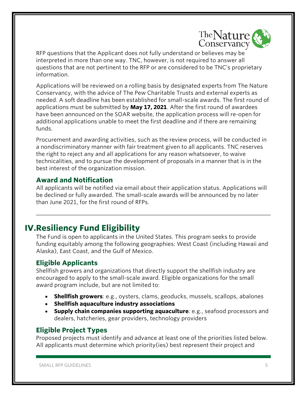

RFP questions that the Applicant does not fully understand or believes may be interpreted in more than one way. TNC, however, is not required to answer all questions that are not pertinent to the RFP or are considered to be TNC's proprietary information.

Applications will be reviewed on a rolling basis by designated experts from The Nature Conservancy, with the advice of The Pew Charitable Trusts and external experts as needed. A soft deadline has been established for small-scale awards. The first round of applications must be submitted by **May 17, 2021**. After the first round of awardees have been announced on the SOAR website, the application process will re-open for additional applications unable to meet the first deadline and if there are remaining funds.

Procurement and awarding activities, such as the review process, will be conducted in a nondiscriminatory manner with fair treatment given to all applicants. TNC reserves the right to reject any and all applications for any reason whatsoever, to waive technicalities, and to pursue the development of proposals in a manner that is in the best interest of the organization mission.

#### <span id="page-5-0"></span>**Award and Notification**

All applicants will be notified via email about their application status. Applications will be declined or fully awarded. The small-scale awards will be announced by no later than June 2021, for the first round of RFPs.

# <span id="page-5-1"></span>**IV.Resiliency Fund Eligibility**

The Fund is open to applicants in the United States. This program seeks to provide funding equitably among the following geographies: West Coast (including Hawaii and Alaska), East Coast, and the Gulf of Mexico.

## <span id="page-5-2"></span>**Eligible Applicants**

Shellfish growers and organizations that directly support the shellfish industry are encouraged to apply to the small-scale award. Eligible organizations for the small award program include, but are not limited to:

- **Shellfish growers**: e.g., oysters, clams, geoducks, mussels, scallops, abalones
- **Shellfish aquaculture industry associations**
- **Supply chain companies supporting aquaculture**: e.g., seafood processors and dealers, hatcheries, gear providers, technology providers

#### <span id="page-5-3"></span>**Eligible Project Types**

Proposed projects must identify and advance at least one of the priorities listed below. All applicants must determine which priority(ies) best represent their project and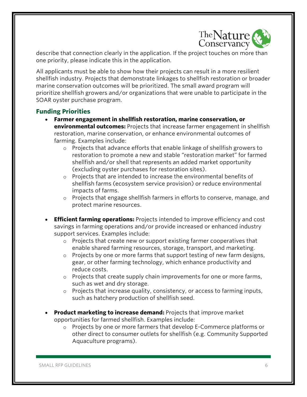

describe that connection clearly in the application. If the project touches on more than one priority, please indicate this in the application.

All applicants must be able to show how their projects can result in a more resilient shellfish industry. Projects that demonstrate linkages to shellfish restoration or broader marine conservation outcomes will be prioritized. The small award program will prioritize shellfish growers and/or organizations that were unable to participate in the SOAR oyster purchase program.

#### <span id="page-6-0"></span>**Funding Priorities**

- **Farmer engagement in shellfish restoration, marine conservation, or environmental outcomes:** Projects that increase farmer engagement in shellfish restoration, marine conservation, or enhance environmental outcomes of farming. Examples include:
	- o Projects that advance efforts that enable linkage of shellfish growers to restoration to promote a new and stable "restoration market" for farmed shellfish and/or shell that represents an added market opportunity (excluding oyster purchases for restoration sites).
	- o Projects that are intended to increase the environmental benefits of shellfish farms (ecosystem service provision) or reduce environmental impacts of farms.
	- o Projects that engage shellfish farmers in efforts to conserve, manage, and protect marine resources.
- **Efficient farming operations:** Projects intended to improve efficiency and cost savings in farming operations and/or provide increased or enhanced industry support services. Examples include:
	- $\circ$  Projects that create new or support existing farmer cooperatives that enable shared farming resources, storage, transport, and marketing.
	- $\circ$  Projects by one or more farms that support testing of new farm designs, gear, or other farming technology, which enhance productivity and reduce costs.
	- $\circ$  Projects that create supply chain improvements for one or more farms, such as wet and dry storage.
	- o Projects that increase quality, consistency, or access to farming inputs, such as hatchery production of shellfish seed.
- **Product marketing to increase demand:** Projects that improve market opportunities for farmed shellfish. Examples include:
	- o Projects by one or more farmers that develop E-Commerce platforms or other direct to consumer outlets for shellfish (e.g. Community Supported Aquaculture programs).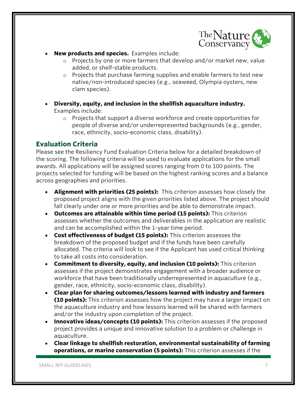

- **New products and species.** Examples include:
	- o Projects by one or more farmers that develop and/or market new, value added, or shelf-stable products.
	- o Projects that purchase farming supplies and enable farmers to test new native/non-introduced species (e.g., seaweed, Olympia oysters, new clam species).
- **Diversity, equity, and inclusion in the shellfish aquaculture industry.**  Examples include:
	- $\circ$  Projects that support a diverse workforce and create opportunities for people of diverse and/or underrepresented backgrounds (e.g., gender, race, ethnicity, socio-economic class, disability).

# <span id="page-7-0"></span>**Evaluation Criteria**

Please see the Resiliency Fund Evaluation Criteria below for a detailed breakdown of the scoring. The following criteria will be used to evaluate applications for the small awards. All applications will be assigned scores ranging from 0 to 100 points. The projects selected for funding will be based on the highest ranking scores and a balance across geographies and priorities.

- **Alignment with priorities (25 points):** This criterion assesses how closely the proposed project aligns with the given priorities listed above. The project should fall clearly under one or more priorities and be able to demonstrate impact.
- **Outcomes are attainable within time period (15 points):** This criterion assesses whether the outcomes and deliverables in the application are realistic and can be accomplished within the 1-year time period.
- **Cost effectiveness of budget (15 points):** This criterion assesses the breakdown of the proposed budget and if the funds have been carefully allocated. The criteria will look to see if the Applicant has used critical thinking to take all costs into consideration.
- **Commitment to diversity, equity, and inclusion (10 points):** This criterion assesses if the project demonstrates engagement with a broader audience or workforce that have been traditionally underrepresented in aquaculture (e.g., gender, race, ethnicity, socio-economic class, disability).
- **Clear plan for sharing outcomes/lessons learned with industry and farmers (10 points):** This criterion assesses how the project may have a larger impact on the aquaculture industry and how lessons learned will be shared with farmers and/or the industry upon completion of the project.
- **Innovative ideas/concepts (10 points):** This criterion assesses if the proposed project provides a unique and innovative solution to a problem or challenge in aquaculture.
- **Clear linkage to shellfish restoration, environmental sustainability of farming operations, or marine conservation (5 points):** This criterion assesses if the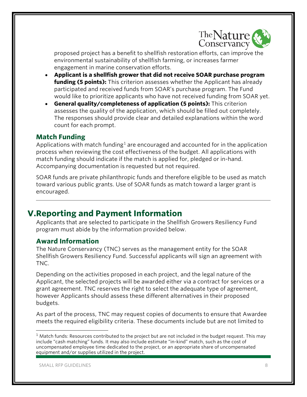

proposed project has a benefit to shellfish restoration efforts, can improve the environmental sustainability of shellfish farming, or increases farmer engagement in marine conservation efforts.

- **Applicant is a shellfish grower that did not receive SOAR purchase program funding (5 points):** This criterion assesses whether the Applicant has already participated and received funds from SOAR's purchase program. The Fund would like to prioritize applicants who have not received funding from SOAR yet.
- **General quality/completeness of application (5 points):** This criterion assesses the quality of the application, which should be filled out completely. The responses should provide clear and detailed explanations within the word count for each prompt.

#### <span id="page-8-0"></span>**Match Funding**

Applications with match funding<sup>[1](#page-8-3)</sup> are encouraged and accounted for in the application process when reviewing the cost effectiveness of the budget. All applications with match funding should indicate if the match is applied for, pledged or in-hand. Accompanying documentation is requested but not required.

SOAR funds are private philanthropic funds and therefore eligible to be used as match toward various public grants. Use of SOAR funds as match toward a larger grant is encouraged.

# <span id="page-8-1"></span>**V.Reporting and Payment Information**

Applicants that are selected to participate in the Shellfish Growers Resiliency Fund program must abide by the information provided below.

#### <span id="page-8-2"></span>**Award Information**

The Nature Conservancy (TNC) serves as the management entity for the SOAR Shellfish Growers Resiliency Fund. Successful applicants will sign an agreement with TNC.

Depending on the activities proposed in each project, and the legal nature of the Applicant, the selected projects will be awarded either via a contract for services or a grant agreement. TNC reserves the right to select the adequate type of agreement, however Applicants should assess these different alternatives in their proposed budgets.

As part of the process, TNC may request copies of documents to ensure that Awardee meets the required eligibility criteria. These documents include but are not limited to

<span id="page-8-3"></span> $1$  Match funds: Resources contributed to the project but are not included in the budget request. This may include "cash matching" funds. It may also include estimate "in-kind" match, such as the cost of uncompensated employee time dedicated to the project, or an appropriate share of uncompensated equipment and/or supplies utilized in the project.